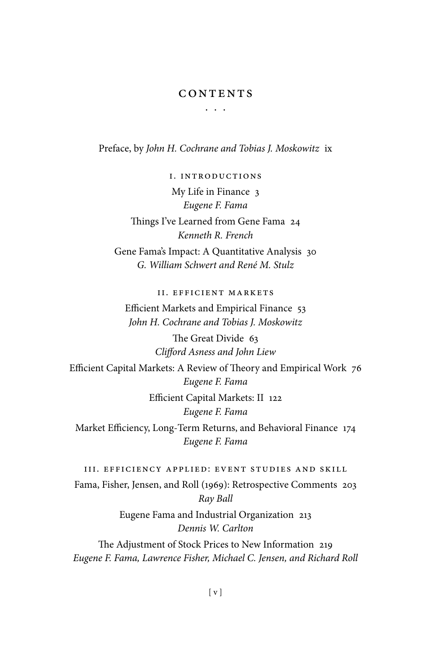## CONTENTS

. . .

Preface, by *John H. Cochrane and Tobias J. Moskowitz* ix

I. Introductions My Life in Finance 3 *Eugene F. Fama* Things I've Learned from Gene Fama 24 *Kenneth R. French* Gene Fama's Impact: A Quantitative Analysis 30 *G. William Schwert and René M. Stulz*

II. Efficient Markets

Efficient Markets and Empirical Finance 53 *John H. Cochrane and Tobias J. Moskowitz*

> The Great Divide 63 *Clifford Asness and John Liew*

Efficient Capital Markets: A Review of Theory and Empirical Work 76 *Eugene F. Fama* Efficient Capital Markets: II 122 *Eugene F. Fama* Market Efficiency, Long-Term Returns, and Behavioral Finance 174 *Eugene F. Fama*

III. Efficiency Applied: Event Studies and Skill Fama, Fisher, Jensen, and Roll (1969): Retrospective Comments 203 *Ray Ball*

Eugene Fama and Industrial Organization 213 *Dennis W. Carlton*

The Adjustment of Stock Prices to New Information 219 *Eugene F. Fama, Lawrence Fisher, Michael C. Jensen, and Richard Roll*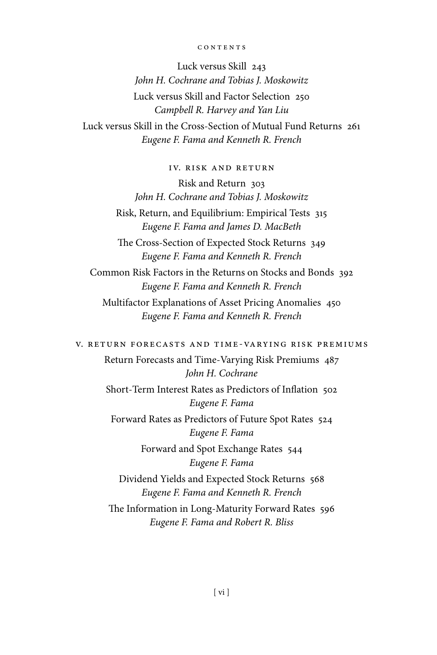## contents

Luck versus Skill 243 *John H. Cochrane and Tobias J. Moskowitz* Luck versus Skill and Factor Selection 250 *Campbell R. Harvey and Yan Liu* Luck versus Skill in the Cross-Section of Mutual Fund Returns 261 *Eugene F. Fama and Kenneth R. French*

IV. Risk and Return

Risk and Return 303 *John H. Cochrane and Tobias J. Moskowitz*

Risk, Return, and Equilibrium: Empirical Tests 315 *Eugene F. Fama and James D. MacBeth*

The Cross-Section of Expected Stock Returns 349 *Eugene F. Fama and Kenneth R. French*

Common Risk Factors in the Returns on Stocks and Bonds 392 *Eugene F. Fama and Kenneth R. French*

Multifactor Explanations of Asset Pricing Anomalies 450 *Eugene F. Fama and Kenneth R. French*

V. Return Forecasts and Time-Varying Risk Premiums

Return Forecasts and Time-Varying Risk Premiums 487 *John H. Cochrane* Short-Term Interest Rates as Predictors of Inflation 502 *Eugene F. Fama* Forward Rates as Predictors of Future Spot Rates 524 *Eugene F. Fama* Forward and Spot Exchange Rates 544 *Eugene F. Fama* Dividend Yields and Expected Stock Returns 568 *Eugene F. Fama and Kenneth R. French* The Information in Long-Maturity Forward Rates 596 *Eugene F. Fama and Robert R. Bliss*